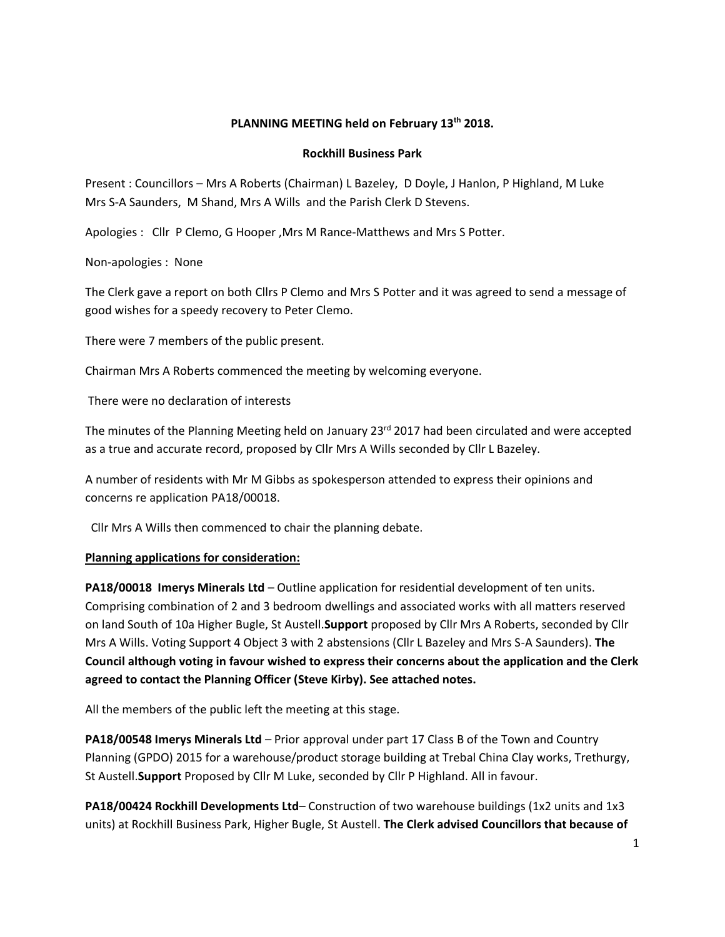# **PLANNING MEETING held on February 13th 2018.**

#### **Rockhill Business Park**

Present : Councillors – Mrs A Roberts (Chairman) L Bazeley, D Doyle, J Hanlon, P Highland, M Luke Mrs S-A Saunders, M Shand, Mrs A Wills and the Parish Clerk D Stevens.

Apologies : Cllr P Clemo, G Hooper ,Mrs M Rance-Matthews and Mrs S Potter.

Non-apologies : None

The Clerk gave a report on both Cllrs P Clemo and Mrs S Potter and it was agreed to send a message of good wishes for a speedy recovery to Peter Clemo.

There were 7 members of the public present.

Chairman Mrs A Roberts commenced the meeting by welcoming everyone.

There were no declaration of interests

The minutes of the Planning Meeting held on January 23 $rd$  2017 had been circulated and were accepted as a true and accurate record, proposed by Cllr Mrs A Wills seconded by Cllr L Bazeley.

A number of residents with Mr M Gibbs as spokesperson attended to express their opinions and concerns re application PA18/00018.

Cllr Mrs A Wills then commenced to chair the planning debate.

#### **Planning applications for consideration:**

**PA18/00018 Imerys Minerals Ltd** – Outline application for residential development of ten units. Comprising combination of 2 and 3 bedroom dwellings and associated works with all matters reserved on land South of 10a Higher Bugle, St Austell.**Support** proposed by Cllr Mrs A Roberts, seconded by Cllr Mrs A Wills. Voting Support 4 Object 3 with 2 abstensions (Cllr L Bazeley and Mrs S-A Saunders). **The Council although voting in favour wished to express their concerns about the application and the Clerk agreed to contact the Planning Officer (Steve Kirby). See attached notes.**

All the members of the public left the meeting at this stage.

**PA18/00548 Imerys Minerals Ltd** – Prior approval under part 17 Class B of the Town and Country Planning (GPDO) 2015 for a warehouse/product storage building at Trebal China Clay works, Trethurgy, St Austell.**Support** Proposed by Cllr M Luke, seconded by Cllr P Highland. All in favour.

**PA18/00424 Rockhill Developments Ltd**– Construction of two warehouse buildings (1x2 units and 1x3 units) at Rockhill Business Park, Higher Bugle, St Austell. **The Clerk advised Councillors that because of**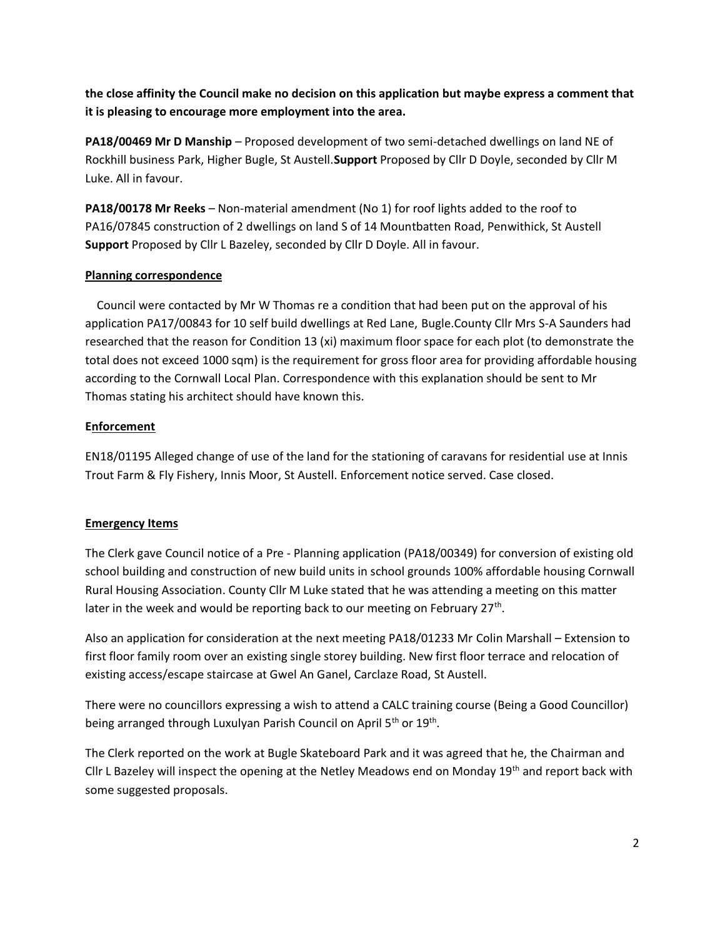**the close affinity the Council make no decision on this application but maybe express a comment that it is pleasing to encourage more employment into the area.**

**PA18/00469 Mr D Manship** – Proposed development of two semi-detached dwellings on land NE of Rockhill business Park, Higher Bugle, St Austell.**Support** Proposed by Cllr D Doyle, seconded by Cllr M Luke. All in favour.

**PA18/00178 Mr Reeks** - Non-material amendment (No 1) for roof lights added to the roof to PA16/07845 construction of 2 dwellings on land S of 14 Mountbatten Road, Penwithick, St Austell **Support** Proposed by Cllr L Bazeley, seconded by Cllr D Doyle. All in favour.

## **Planning correspondence**

 Council were contacted by Mr W Thomas re a condition that had been put on the approval of his application PA17/00843 for 10 self build dwellings at Red Lane, Bugle.County Cllr Mrs S-A Saunders had researched that the reason for Condition 13 (xi) maximum floor space for each plot (to demonstrate the total does not exceed 1000 sqm) is the requirement for gross floor area for providing affordable housing according to the Cornwall Local Plan. Correspondence with this explanation should be sent to Mr Thomas stating his architect should have known this.

## **Enforcement**

EN18/01195 Alleged change of use of the land for the stationing of caravans for residential use at Innis Trout Farm & Fly Fishery, Innis Moor, St Austell. Enforcement notice served. Case closed.

# **Emergency Items**

The Clerk gave Council notice of a Pre - Planning application (PA18/00349) for conversion of existing old school building and construction of new build units in school grounds 100% affordable housing Cornwall Rural Housing Association. County Cllr M Luke stated that he was attending a meeting on this matter later in the week and would be reporting back to our meeting on February  $27^{th}$ .

Also an application for consideration at the next meeting PA18/01233 Mr Colin Marshall – Extension to first floor family room over an existing single storey building. New first floor terrace and relocation of existing access/escape staircase at Gwel An Ganel, Carclaze Road, St Austell.

There were no councillors expressing a wish to attend a CALC training course (Being a Good Councillor) being arranged through Luxulyan Parish Council on April 5<sup>th</sup> or 19<sup>th</sup>.

The Clerk reported on the work at Bugle Skateboard Park and it was agreed that he, the Chairman and Cllr L Bazeley will inspect the opening at the Netley Meadows end on Monday 19<sup>th</sup> and report back with some suggested proposals.